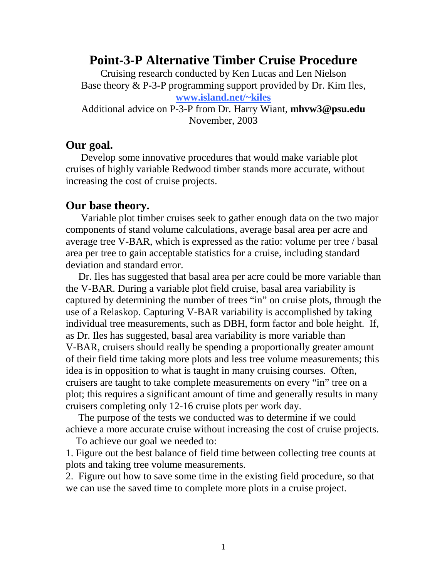## **Point-3-P Alternative Timber Cruise Procedure**

Cruising research conducted by Ken Lucas and Len Nielson Base theory & P-3-P programming support provided by Dr. Kim Iles, **[www.island.net/~kiles](http://www.island.net/~kiles)**

Additional advice on P-3-P from Dr. Harry Wiant, **mhvw3@psu.edu**  November, 2003

## **Our goal.**

 Develop some innovative procedures that would make variable plot cruises of highly variable Redwood timber stands more accurate, without increasing the cost of cruise projects.

#### **Our base theory.**

 Variable plot timber cruises seek to gather enough data on the two major components of stand volume calculations, average basal area per acre and average tree V-BAR, which is expressed as the ratio: volume per tree / basal area per tree to gain acceptable statistics for a cruise, including standard deviation and standard error.

 Dr. Iles has suggested that basal area per acre could be more variable than the V-BAR. During a variable plot field cruise, basal area variability is captured by determining the number of trees "in" on cruise plots, through the use of a Relaskop. Capturing V-BAR variability is accomplished by taking individual tree measurements, such as DBH, form factor and bole height. If, as Dr. Iles has suggested, basal area variability is more variable than V-BAR, cruisers should really be spending a proportionally greater amount of their field time taking more plots and less tree volume measurements; this idea is in opposition to what is taught in many cruising courses. Often, cruisers are taught to take complete measurements on every "in" tree on a plot; this requires a significant amount of time and generally results in many cruisers completing only 12-16 cruise plots per work day.

 The purpose of the tests we conducted was to determine if we could achieve a more accurate cruise without increasing the cost of cruise projects.

To achieve our goal we needed to:

1. Figure out the best balance of field time between collecting tree counts at plots and taking tree volume measurements.

2. Figure out how to save some time in the existing field procedure, so that we can use the saved time to complete more plots in a cruise project.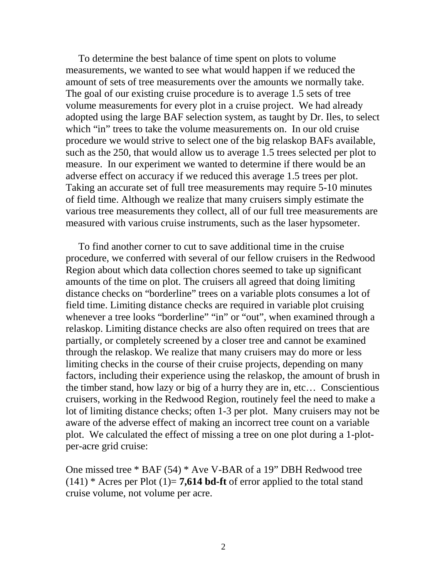To determine the best balance of time spent on plots to volume measurements, we wanted to see what would happen if we reduced the amount of sets of tree measurements over the amounts we normally take. The goal of our existing cruise procedure is to average 1.5 sets of tree volume measurements for every plot in a cruise project. We had already adopted using the large BAF selection system, as taught by Dr. Iles, to select which "in" trees to take the volume measurements on. In our old cruise procedure we would strive to select one of the big relaskop BAFs available, such as the 250, that would allow us to average 1.5 trees selected per plot to measure. In our experiment we wanted to determine if there would be an adverse effect on accuracy if we reduced this average 1.5 trees per plot. Taking an accurate set of full tree measurements may require 5-10 minutes of field time. Although we realize that many cruisers simply estimate the various tree measurements they collect, all of our full tree measurements are measured with various cruise instruments, such as the laser hypsometer.

 To find another corner to cut to save additional time in the cruise procedure, we conferred with several of our fellow cruisers in the Redwood Region about which data collection chores seemed to take up significant amounts of the time on plot. The cruisers all agreed that doing limiting distance checks on "borderline" trees on a variable plots consumes a lot of field time. Limiting distance checks are required in variable plot cruising whenever a tree looks "borderline" "in" or "out", when examined through a relaskop. Limiting distance checks are also often required on trees that are partially, or completely screened by a closer tree and cannot be examined through the relaskop. We realize that many cruisers may do more or less limiting checks in the course of their cruise projects, depending on many factors, including their experience using the relaskop, the amount of brush in the timber stand, how lazy or big of a hurry they are in, etc… Conscientious cruisers, working in the Redwood Region, routinely feel the need to make a lot of limiting distance checks; often 1-3 per plot. Many cruisers may not be aware of the adverse effect of making an incorrect tree count on a variable plot.We calculated the effect of missing a tree on one plot during a 1-plotper-acre grid cruise:

One missed tree \* BAF (54) \* Ave V-BAR of a 19" DBH Redwood tree  $(141)$  \* Acres per Plot  $(1)=$  **7,614 bd-ft** of error applied to the total stand cruise volume, not volume per acre.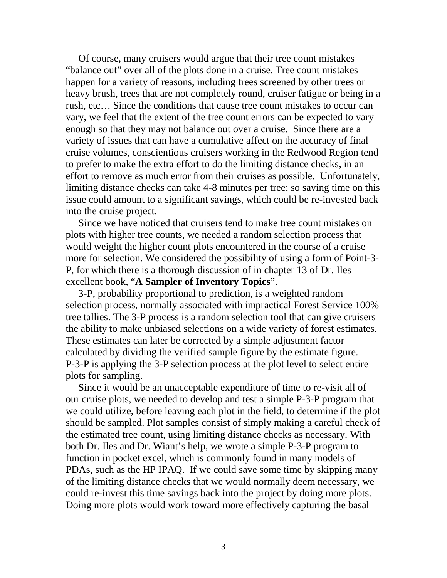Of course, many cruisers would argue that their tree count mistakes "balance out" over all of the plots done in a cruise. Tree count mistakes happen for a variety of reasons, including trees screened by other trees or heavy brush, trees that are not completely round, cruiser fatigue or being in a rush, etc… Since the conditions that cause tree count mistakes to occur can vary, we feel that the extent of the tree count errors can be expected to vary enough so that they may not balance out over a cruise. Since there are a variety of issues that can have a cumulative affect on the accuracy of final cruise volumes, conscientious cruisers working in the Redwood Region tend to prefer to make the extra effort to do the limiting distance checks, in an effort to remove as much error from their cruises as possible. Unfortunately, limiting distance checks can take 4-8 minutes per tree; so saving time on this issue could amount to a significant savings, which could be re-invested back into the cruise project.

 Since we have noticed that cruisers tend to make tree count mistakes on plots with higher tree counts, we needed a random selection process that would weight the higher count plots encountered in the course of a cruise more for selection. We considered the possibility of using a form of Point-3- P, for which there is a thorough discussion of in chapter 13 of Dr. Iles excellent book, "**A Sampler of Inventory Topics**".

 3-P, probability proportional to prediction, is a weighted random selection process, normally associated with impractical Forest Service 100% tree tallies. The 3-P process is a random selection tool that can give cruisers the ability to make unbiased selections on a wide variety of forest estimates. These estimates can later be corrected by a simple adjustment factor calculated by dividing the verified sample figure by the estimate figure. P-3-P is applying the 3-P selection process at the plot level to select entire plots for sampling.

 Since it would be an unacceptable expenditure of time to re-visit all of our cruise plots, we needed to develop and test a simple P-3-P program that we could utilize, before leaving each plot in the field, to determine if the plot should be sampled. Plot samples consist of simply making a careful check of the estimated tree count, using limiting distance checks as necessary. With both Dr. Iles and Dr. Wiant's help, we wrote a simple P-3-P program to function in pocket excel, which is commonly found in many models of PDAs, such as the HP IPAQ. If we could save some time by skipping many of the limiting distance checks that we would normally deem necessary, we could re-invest this time savings back into the project by doing more plots. Doing more plots would work toward more effectively capturing the basal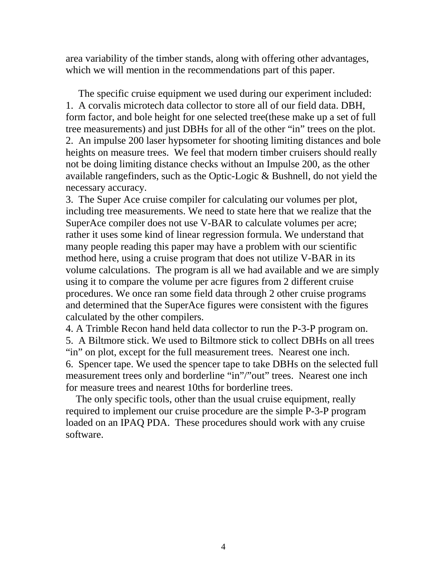area variability of the timber stands, along with offering other advantages, which we will mention in the recommendations part of this paper.

 The specific cruise equipment we used during our experiment included: 1. A corvalis microtech data collector to store all of our field data. DBH, form factor, and bole height for one selected tree(these make up a set of full tree measurements) and just DBHs for all of the other "in" trees on the plot. 2. An impulse 200 laser hypsometer for shooting limiting distances and bole heights on measure trees. We feel that modern timber cruisers should really not be doing limiting distance checks without an Impulse 200, as the other available rangefinders, such as the Optic-Logic & Bushnell, do not yield the necessary accuracy.

3. The Super Ace cruise compiler for calculating our volumes per plot, including tree measurements. We need to state here that we realize that the SuperAce compiler does not use V-BAR to calculate volumes per acre; rather it uses some kind of linear regression formula. We understand that many people reading this paper may have a problem with our scientific method here, using a cruise program that does not utilize V-BAR in its volume calculations. The program is all we had available and we are simply using it to compare the volume per acre figures from 2 different cruise procedures. We once ran some field data through 2 other cruise programs and determined that the SuperAce figures were consistent with the figures calculated by the other compilers.

4. A Trimble Recon hand held data collector to run the P-3-P program on. 5. A Biltmore stick. We used to Biltmore stick to collect DBHs on all trees "in" on plot, except for the full measurement trees. Nearest one inch. 6. Spencer tape. We used the spencer tape to take DBHs on the selected full measurement trees only and borderline "in"/"out" trees. Nearest one inch for measure trees and nearest 10ths for borderline trees.

 The only specific tools, other than the usual cruise equipment, really required to implement our cruise procedure are the simple P-3-P program loaded on an IPAQ PDA. These procedures should work with any cruise software.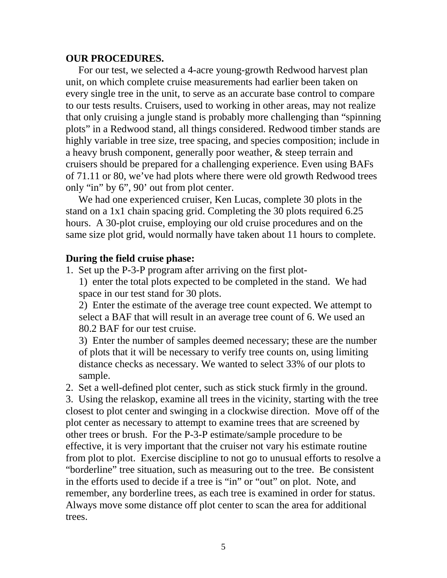#### **OUR PROCEDURES.**

 For our test, we selected a 4-acre young-growth Redwood harvest plan unit, on which complete cruise measurements had earlier been taken on every single tree in the unit, to serve as an accurate base control to compare to our tests results. Cruisers, used to working in other areas, may not realize that only cruising a jungle stand is probably more challenging than "spinning plots" in a Redwood stand, all things considered. Redwood timber stands are highly variable in tree size, tree spacing, and species composition; include in a heavy brush component, generally poor weather, & steep terrain and cruisers should be prepared for a challenging experience. Even using BAFs of 71.11 or 80, we've had plots where there were old growth Redwood trees only "in" by 6", 90' out from plot center.

 We had one experienced cruiser, Ken Lucas, complete 30 plots in the stand on a 1x1 chain spacing grid. Completing the 30 plots required 6.25 hours. A 30-plot cruise, employing our old cruise procedures and on the same size plot grid, would normally have taken about 11 hours to complete.

#### **During the field cruise phase:**

1. Set up the P-3-P program after arriving on the first plot-

1) enter the total plots expected to be completed in the stand. We had space in our test stand for 30 plots.

2) Enter the estimate of the average tree count expected. We attempt to select a BAF that will result in an average tree count of 6. We used an 80.2 BAF for our test cruise.

3) Enter the number of samples deemed necessary; these are the number of plots that it will be necessary to verify tree counts on, using limiting distance checks as necessary. We wanted to select 33% of our plots to sample.

2. Set a well-defined plot center, such as stick stuck firmly in the ground.

3. Using the relaskop, examine all trees in the vicinity, starting with the tree closest to plot center and swinging in a clockwise direction. Move off of the plot center as necessary to attempt to examine trees that are screened by other trees or brush. For the P-3-P estimate/sample procedure to be effective, it is very important that the cruiser not vary his estimate routine from plot to plot. Exercise discipline to not go to unusual efforts to resolve a "borderline" tree situation, such as measuring out to the tree. Be consistent in the efforts used to decide if a tree is "in" or "out" on plot. Note, and remember, any borderline trees, as each tree is examined in order for status. Always move some distance off plot center to scan the area for additional trees.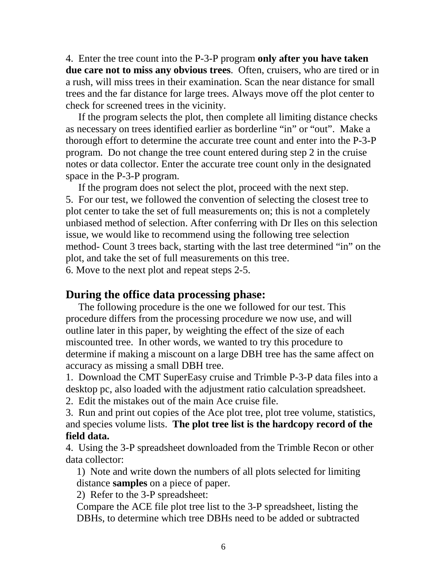4. Enter the tree count into the P-3-P program **only after you have taken due care not to miss any obvious trees**. Often, cruisers, who are tired or in a rush, will miss trees in their examination. Scan the near distance for small trees and the far distance for large trees. Always move off the plot center to check for screened trees in the vicinity.

 If the program selects the plot, then complete all limiting distance checks as necessary on trees identified earlier as borderline "in" or "out". Make a thorough effort to determine the accurate tree count and enter into the P-3-P program. Do not change the tree count entered during step 2 in the cruise notes or data collector. Enter the accurate tree count only in the designated space in the P-3-P program.

 If the program does not select the plot, proceed with the next step. 5. For our test, we followed the convention of selecting the closest tree to plot center to take the set of full measurements on; this is not a completely unbiased method of selection. After conferring with Dr Iles on this selection issue, we would like to recommend using the following tree selection method- Count 3 trees back, starting with the last tree determined "in" on the plot, and take the set of full measurements on this tree.

6. Move to the next plot and repeat steps 2-5.

### **During the office data processing phase:**

 The following procedure is the one we followed for our test. This procedure differs from the processing procedure we now use, and will outline later in this paper, by weighting the effect of the size of each miscounted tree. In other words, we wanted to try this procedure to determine if making a miscount on a large DBH tree has the same affect on accuracy as missing a small DBH tree.

1. Download the CMT SuperEasy cruise and Trimble P-3-P data files into a desktop pc, also loaded with the adjustment ratio calculation spreadsheet.

2. Edit the mistakes out of the main Ace cruise file.

3. Run and print out copies of the Ace plot tree, plot tree volume, statistics, and species volume lists. **The plot tree list is the hardcopy record of the field data.** 

4. Using the 3-P spreadsheet downloaded from the Trimble Recon or other data collector:

1) Note and write down the numbers of all plots selected for limiting distance **samples** on a piece of paper.

2) Refer to the 3-P spreadsheet:

Compare the ACE file plot tree list to the 3-P spreadsheet, listing the DBHs, to determine which tree DBHs need to be added or subtracted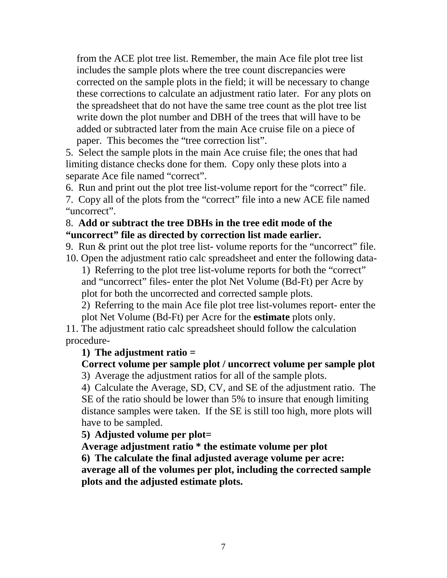from the ACE plot tree list. Remember, the main Ace file plot tree list includes the sample plots where the tree count discrepancies were corrected on the sample plots in the field; it will be necessary to change these corrections to calculate an adjustment ratio later. For any plots on the spreadsheet that do not have the same tree count as the plot tree list write down the plot number and DBH of the trees that will have to be added or subtracted later from the main Ace cruise file on a piece of paper. This becomes the "tree correction list".

5. Select the sample plots in the main Ace cruise file; the ones that had limiting distance checks done for them. Copy only these plots into a separate Ace file named "correct".

6. Run and print out the plot tree list-volume report for the "correct" file.

7. Copy all of the plots from the "correct" file into a new ACE file named "uncorrect".

#### 8. **Add or subtract the tree DBHs in the tree edit mode of the "uncorrect" file as directed by correction list made earlier.**

9. Run & print out the plot tree list- volume reports for the "uncorrect" file.

10. Open the adjustment ratio calc spreadsheet and enter the following data-1) Referring to the plot tree list-volume reports for both the "correct" and "uncorrect" files- enter the plot Net Volume (Bd-Ft) per Acre by plot for both the uncorrected and corrected sample plots.

2) Referring to the main Ace file plot tree list-volumes report- enter the plot Net Volume (Bd-Ft) per Acre for the **estimate** plots only.

11. The adjustment ratio calc spreadsheet should follow the calculation procedure-

### **1) The adjustment ratio =**

### **Correct volume per sample plot / uncorrect volume per sample plot**

3) Average the adjustment ratios for all of the sample plots.

4) Calculate the Average, SD, CV, and SE of the adjustment ratio. The SE of the ratio should be lower than 5% to insure that enough limiting distance samples were taken. If the SE is still too high, more plots will have to be sampled.

**5) Adjusted volume per plot=** 

**Average adjustment ratio \* the estimate volume per plot 6) The calculate the final adjusted average volume per acre: average all of the volumes per plot, including the corrected sample plots and the adjusted estimate plots.**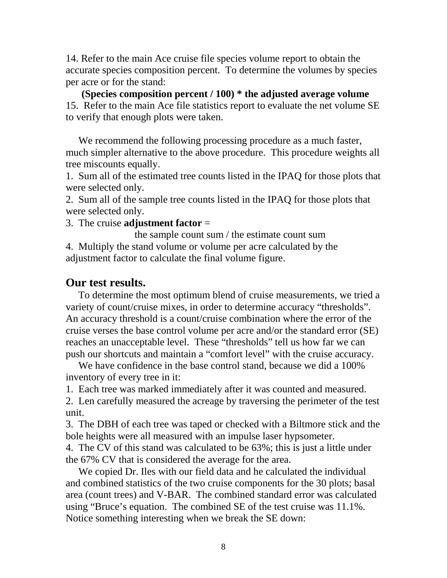14. Refer to the main Ace cruise file species volume report to obtain the accurate species composition percent. To determine the volumes by species per acre or for the stand:

**(Species composition percent / 100) \* the adjusted average volume**  15. Refer to the main Ace file statistics report to evaluate the net volume SE to verify that enough plots were taken.

We recommend the following processing procedure as a much faster, much simpler alternative to the above procedure. This procedure weights all tree miscounts equally.

1. Sum all of the estimated tree counts listed in the IPAQ for those plots that were selected only.

2. Sum all of the sample tree counts listed in the IPAQ for those plots that were selected only.

3. The cruise **adjustment factor** =

 the sample count sum / the estimate count sum 4. Multiply the stand volume or volume per acre calculated by the adjustment factor to calculate the final volume figure.

# **Our test results.**

To determine the most optimum blend of cruise measurements, we tried a variety of count/cruise mixes, in order to determine accuracy "thresholds". An accuracy threshold is a count/cruise combination where the error of the cruise verses the base control volume per acre and/or the standard error (SE) reaches an unacceptable level. These "thresholds" tell us how far we can push our shortcuts and maintain a "comfort level" with the cruise accuracy.

We have confidence in the base control stand, because we did a 100% inventory of every tree in it:

1. Each tree was marked immediately after it was counted and measured.

2. Len carefully measured the acreage by traversing the perimeter of the test unit.

3. The DBH of each tree was taped or checked with a Biltmore stick and the bole heights were all measured with an impulse laser hypsometer.

4. The CV of this stand was calculated to be 63%; this is just a little under the 67% CV that is considered the average for the area.

 We copied Dr. Iles with our field data and he calculated the individual and combined statistics of the two cruise components for the 30 plots; basal area (count trees) and V-BAR. The combined standard error was calculated using "Bruce's equation. The combined SE of the test cruise was 11.1%. Notice something interesting when we break the SE down: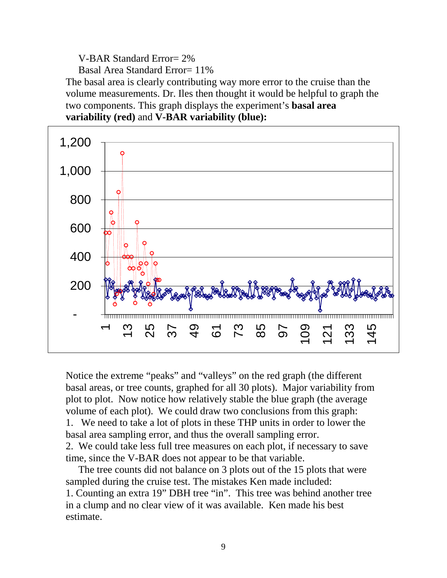V-BAR Standard Error= 2%

Basal Area Standard Error= 11%

The basal area is clearly contributing way more error to the cruise than the volume measurements. Dr. Iles then thought it would be helpful to graph the two components. This graph displays the experiment's **basal area variability (red)** and **V-BAR variability (blue):** 



Notice the extreme "peaks" and "valleys" on the red graph (the different basal areas, or tree counts, graphed for all 30 plots). Major variability from plot to plot. Now notice how relatively stable the blue graph (the average volume of each plot). We could draw two conclusions from this graph: 1. We need to take a lot of plots in these THP units in order to lower the basal area sampling error, and thus the overall sampling error. 2. We could take less full tree measures on each plot, if necessary to save time, since the V-BAR does not appear to be that variable.

 The tree counts did not balance on 3 plots out of the 15 plots that were sampled during the cruise test. The mistakes Ken made included: 1. Counting an extra 19" DBH tree "in". This tree was behind another tree in a clump and no clear view of it was available. Ken made his best estimate.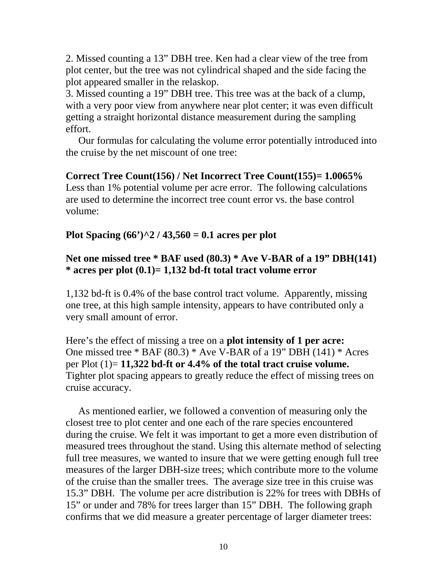2. Missed counting a 13" DBH tree. Ken had a clear view of the tree from plot center, but the tree was not cylindrical shaped and the side facing the plot appeared smaller in the relaskop.

3. Missed counting a 19" DBH tree. This tree was at the back of a clump, with a very poor view from anywhere near plot center; it was even difficult getting a straight horizontal distance measurement during the sampling effort.

 Our formulas for calculating the volume error potentially introduced into the cruise by the net miscount of one tree:

**Correct Tree Count(156) / Net Incorrect Tree Count(155)= 1.0065%** Less than 1% potential volume per acre error. The following calculations are used to determine the incorrect tree count error vs. the base control volume:

### **Plot Spacing (66')^2 / 43,560 = 0.1 acres per plot**

### **Net one missed tree \* BAF used (80.3) \* Ave V-BAR of a 19" DBH(141) \* acres per plot (0.1)= 1,132 bd-ft total tract volume error**

1,132 bd-ft is 0.4% of the base control tract volume. Apparently, missing one tree, at this high sample intensity, appears to have contributed only a very small amount of error.

Here's the effect of missing a tree on a **plot intensity of 1 per acre:**  One missed tree \* BAF (80.3) \* Ave V-BAR of a 19" DBH (141) \* Acres per Plot (1)= **11,322 bd-ft or 4.4% of the total tract cruise volume.**  Tighter plot spacing appears to greatly reduce the effect of missing trees on cruise accuracy.

 As mentioned earlier, we followed a convention of measuring only the closest tree to plot center and one each of the rare species encountered during the cruise. We felt it was important to get a more even distribution of measured trees throughout the stand. Using this alternate method of selecting full tree measures, we wanted to insure that we were getting enough full tree measures of the larger DBH-size trees; which contribute more to the volume of the cruise than the smaller trees. The average size tree in this cruise was 15.3" DBH. The volume per acre distribution is 22% for trees with DBHs of 15" or under and 78% for trees larger than 15" DBH. The following graph confirms that we did measure a greater percentage of larger diameter trees: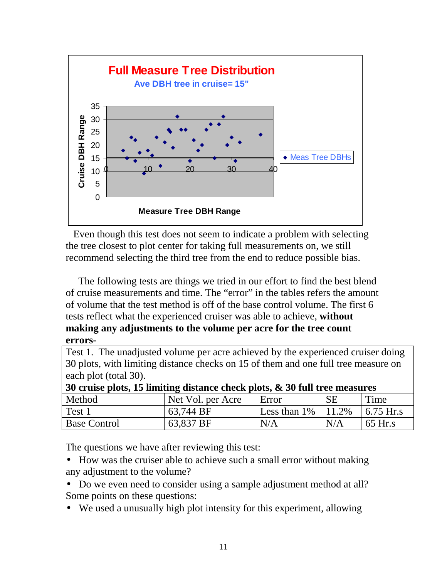

 Even though this test does not seem to indicate a problem with selecting the tree closest to plot center for taking full measurements on, we still recommend selecting the third tree from the end to reduce possible bias.

 The following tests are things we tried in our effort to find the best blend of cruise measurements and time. The "error" in the tables refers the amount of volume that the test method is off of the base control volume. The first 6 tests reflect what the experienced cruiser was able to achieve, **without making any adjustments to the volume per acre for the tree count errors-**

Test 1. The unadjusted volume per acre achieved by the experienced cruiser doing 30 plots, with limiting distance checks on 15 of them and one full tree measure on each plot (total 30).

| 30 cruise plots, 15 limiting distance check plots, $\&$ 30 full tree measures |                   |                         |           |             |  |
|-------------------------------------------------------------------------------|-------------------|-------------------------|-----------|-------------|--|
| Method                                                                        | Net Vol. per Acre | Error                   | <b>SE</b> | Time        |  |
| Test 1                                                                        | 63.744 BF         | Less than $1\%$   11.2% |           | $6.75$ Hr.s |  |
| <b>Base Control</b>                                                           | 63,837 BF         | N/A                     | N/A       | 65 Hr.s     |  |

The questions we have after reviewing this test:

- How was the cruiser able to achieve such a small error without making any adjustment to the volume?
- Do we even need to consider using a sample adjustment method at all? Some points on these questions:
- We used a unusually high plot intensity for this experiment, allowing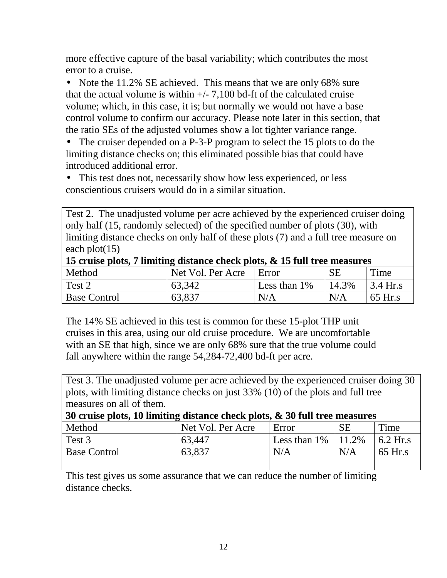more effective capture of the basal variability; which contributes the most error to a cruise.

• Note the 11.2% SE achieved. This means that we are only 68% sure that the actual volume is within  $+/-7.100$  bd-ft of the calculated cruise volume; which, in this case, it is; but normally we would not have a base control volume to confirm our accuracy. Please note later in this section, that the ratio SEs of the adjusted volumes show a lot tighter variance range.

• The cruiser depended on a P-3-P program to select the 15 plots to do the limiting distance checks on; this eliminated possible bias that could have introduced additional error.

• This test does not, necessarily show how less experienced, or less conscientious cruisers would do in a similar situation.

Test 2. The unadjusted volume per acre achieved by the experienced cruiser doing only half (15, randomly selected) of the specified number of plots (30), with limiting distance checks on only half of these plots (7) and a full tree measure on each plot(15)

| 15 cruise plots, / limiting distance check plots, & 15 full tree measures |                   |                 |          |                                             |  |
|---------------------------------------------------------------------------|-------------------|-----------------|----------|---------------------------------------------|--|
| Method                                                                    | Net Vol. Per Acre | Error           |          | Time                                        |  |
| Test 2                                                                    | 63,342            | Less than $1\%$ | $14.3\%$ | $\frac{3.4 \text{ Hr.s}}{2.4 \text{ Hr.s}}$ |  |
| <b>Base Control</b>                                                       | 63,837            | N/A             | N/A      | $\overline{65}$ Hr.s                        |  |

**15 cruise plots, 7 limiting distance check plots, & 15 full tree measures** 

The 14% SE achieved in this test is common for these 15-plot THP unit cruises in this area, using our old cruise procedure. We are uncomfortable with an SE that high, since we are only 68% sure that the true volume could fall anywhere within the range 54,284-72,400 bd-ft per acre.

Test 3. The unadjusted volume per acre achieved by the experienced cruiser doing 30 plots, with limiting distance checks on just 33% (10) of the plots and full tree measures on all of them.

**30 cruise plots, 10 limiting distance check plots, & 30 full tree measures**

| Method              | Net Vol. Per Acre | Error        | <b>SE</b> | Time       |
|---------------------|-------------------|--------------|-----------|------------|
| Test 3              | 63,447            | Less than 1% | 11.2%     | $6.2$ Hr.s |
| <b>Base Control</b> | 63,837            | N/A          | N/A       | 65 Hr.s    |

This test gives us some assurance that we can reduce the number of limiting distance checks.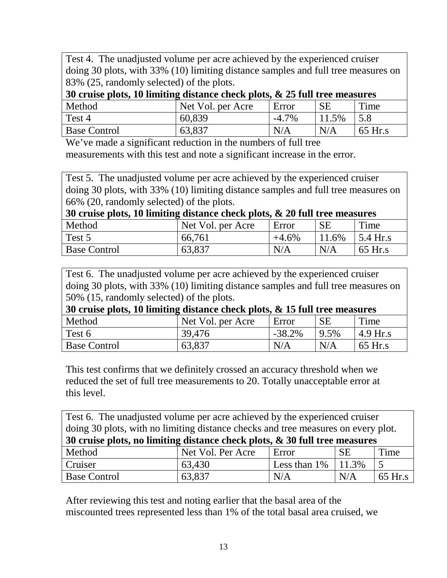Test 4. The unadjusted volume per acre achieved by the experienced cruiser doing 30 plots, with 33% (10) limiting distance samples and full tree measures on 83% (25, randomly selected) of the plots.

| 30 cruise plots, 10 limiting distance check plots, $\&$ 25 full tree measures |                   |          |           |           |  |
|-------------------------------------------------------------------------------|-------------------|----------|-----------|-----------|--|
| Method                                                                        | Net Vol. per Acre | Error    | <b>SE</b> | Time      |  |
| Test 4                                                                        | 60,839            | $-4.7\%$ | 11.5%     | 15.8      |  |
| <b>Base Control</b>                                                           | 63,837            | N/A      | N/A       | $65$ Hr.s |  |

We've made a significant reduction in the numbers of full tree measurements with this test and note a significant increase in the error.

Test 5. The unadjusted volume per acre achieved by the experienced cruiser doing 30 plots, with 33% (10) limiting distance samples and full tree measures on 66% (20, randomly selected) of the plots.

| 30 cruise plots, 10 limiting distance check plots, $\&$ 20 full tree measures |                   |          |           |                              |  |  |
|-------------------------------------------------------------------------------|-------------------|----------|-----------|------------------------------|--|--|
| Method                                                                        | Net Vol. per Acre | Error    | <b>SE</b> | Time                         |  |  |
| Test 5                                                                        | 66,761            | $+4.6\%$ | 11.6%     | $\frac{5.4 \text{ Hr.s}}{2}$ |  |  |
| <b>Base Control</b>                                                           | 63,837            | N/A      | N/A       | 65 Hr.s                      |  |  |

Test 6. The unadjusted volume per acre achieved by the experienced cruiser doing 30 plots, with 33% (10) limiting distance samples and full tree measures on 50% (15, randomly selected) of the plots.

| 30 cruise plots, 10 limiting distance check plots, $\&$ 15 full tree measures |                   |           |           |           |  |
|-------------------------------------------------------------------------------|-------------------|-----------|-----------|-----------|--|
| Method                                                                        | Net Vol. per Acre | Error     | <b>SE</b> | Time      |  |
| Test 6                                                                        | 39,476            | $-38.2\%$ | 9.5%      | 4.9 Hr.s  |  |
| <b>Base Control</b>                                                           | 63,837            | N/A       | N/A       | $65$ Hr.s |  |

This test confirms that we definitely crossed an accuracy threshold when we reduced the set of full tree measurements to 20. Totally unacceptable error at this level.

| Test 6. The unadjusted volume per acre achieved by the experienced cruiser        |                   |                         |           |           |
|-----------------------------------------------------------------------------------|-------------------|-------------------------|-----------|-----------|
| doing 30 plots, with no limiting distance checks and tree measures on every plot. |                   |                         |           |           |
| 30 cruise plots, no limiting distance check plots, & 30 full tree measures        |                   |                         |           |           |
| Method                                                                            | Net Vol. Per Acre | Error                   | <b>SE</b> | Time      |
| Cruiser                                                                           | 63,430            | Less than $1\%$   11.3% |           |           |
| <b>Base Control</b>                                                               | 63,837            | N/A                     | N/A       | $65$ Hr.s |

After reviewing this test and noting earlier that the basal area of the miscounted trees represented less than 1% of the total basal area cruised, we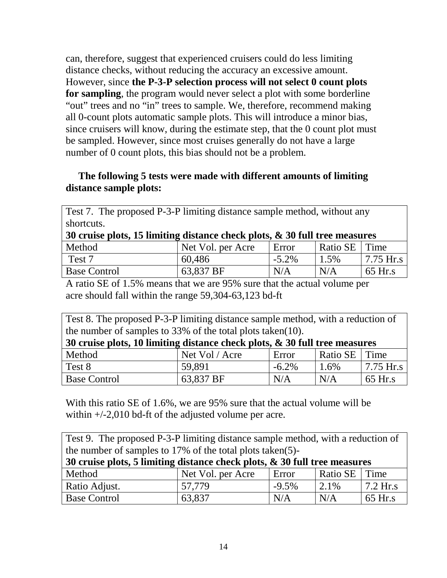can, therefore, suggest that experienced cruisers could do less limiting distance checks, without reducing the accuracy an excessive amount. However, since **the P-3-P selection process will not select 0 count plots for sampling**, the program would never select a plot with some borderline "out" trees and no "in" trees to sample. We, therefore, recommend making all 0-count plots automatic sample plots. This will introduce a minor bias, since cruisers will know, during the estimate step, that the 0 count plot must be sampled. However, since most cruises generally do not have a large number of 0 count plots, this bias should not be a problem.

### **The following 5 tests were made with different amounts of limiting distance sample plots:**

| Test 7. The proposed P-3-P limiting distance sample method, without any       |                   |          |                 |                                          |  |
|-------------------------------------------------------------------------------|-------------------|----------|-----------------|------------------------------------------|--|
| shortcuts.                                                                    |                   |          |                 |                                          |  |
| 30 cruise plots, 15 limiting distance check plots, $\&$ 30 full tree measures |                   |          |                 |                                          |  |
| Method                                                                        | Net Vol. per Acre | Error    | Ratio SE   Time |                                          |  |
| Test 7                                                                        | 60,486            | $-5.2\%$ | 1.5%            | $\frac{17.75 \text{ H}}{2.75 \text{ H}}$ |  |
| <b>Base Control</b>                                                           | 63,837 BF         | N/A      | N/A             | 65 Hr.s                                  |  |

A ratio SE of 1.5% means that we are 95% sure that the actual volume per acre should fall within the range 59,304-63,123 bd-ft

| Test 8. The proposed P-3-P limiting distance sample method, with a reduction of |                |          |                 |                                         |  |
|---------------------------------------------------------------------------------|----------------|----------|-----------------|-----------------------------------------|--|
| the number of samples to $33\%$ of the total plots taken(10).                   |                |          |                 |                                         |  |
| 30 cruise plots, 10 limiting distance check plots, $\&$ 30 full tree measures   |                |          |                 |                                         |  |
| Method                                                                          | Net Vol / Acre | Error    | Ratio SE   Time |                                         |  |
| Test 8                                                                          | 59.891         | $-6.2\%$ | 1.6%            | $\frac{7.75 \text{ H}}{2.75 \text{ H}}$ |  |
| <b>Base Control</b>                                                             | 63,837 BF      | N/A      | N/A             | 65 Hr.s                                 |  |

With this ratio SE of 1.6%, we are 95% sure that the actual volume will be within  $+/-2,010$  bd-ft of the adjusted volume per acre.

| Test 9. The proposed P-3-P limiting distance sample method, with a reduction of |                   |          |                 |            |  |
|---------------------------------------------------------------------------------|-------------------|----------|-----------------|------------|--|
| the number of samples to 17% of the total plots taken(5)-                       |                   |          |                 |            |  |
| 30 cruise plots, 5 limiting distance check plots, & 30 full tree measures       |                   |          |                 |            |  |
| Method                                                                          | Net Vol. per Acre | Error    | Ratio SE   Time |            |  |
| Ratio Adjust.                                                                   | 57,779            | $-9.5\%$ | 2.1%            | $7.2$ Hr.s |  |
| <b>Base Control</b>                                                             | 63,837            | N/A      | N/A             | 65 Hr.s    |  |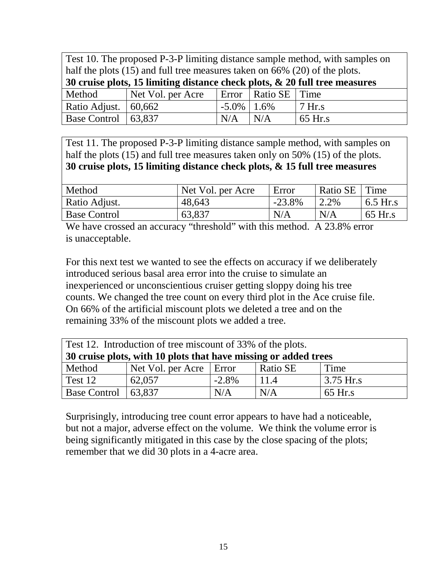| Test 10. The proposed P-3-P limiting distance sample method, with samples on  |                                                                                |                 |                         |          |  |
|-------------------------------------------------------------------------------|--------------------------------------------------------------------------------|-----------------|-------------------------|----------|--|
|                                                                               | half the plots $(15)$ and full tree measures taken on 66% $(20)$ of the plots. |                 |                         |          |  |
| 30 cruise plots, 15 limiting distance check plots, $\&$ 20 full tree measures |                                                                                |                 |                         |          |  |
| Method                                                                        | Net Vol. per Acre                                                              |                 | Error   Ratio SE   Time |          |  |
| Ratio Adjust.                                                                 | 60,662                                                                         | $-5.0\%$   1.6% |                         | $7$ Hr.s |  |
| <b>Base Control</b>                                                           | 63.837                                                                         | N/A             | N/A                     | 65 Hr.s  |  |

Test 11. The proposed P-3-P limiting distance sample method, with samples on half the plots (15) and full tree measures taken only on 50% (15) of the plots. **30 cruise plots, 15 limiting distance check plots, & 15 full tree measures**

| Method              | Net Vol. per Acre | Error    | Ratio SE | Time       |
|---------------------|-------------------|----------|----------|------------|
| Ratio Adjust.       | 48,643            | $-23.8%$ | 2.2%     | $6.5$ Hr.s |
| <b>Base Control</b> | 63,837            | N/A      | N/A      | 65 Hr.s    |

We have crossed an accuracy "threshold" with this method. A 23.8% error is unacceptable.

For this next test we wanted to see the effects on accuracy if we deliberately introduced serious basal area error into the cruise to simulate an inexperienced or unconscientious cruiser getting sloppy doing his tree counts. We changed the tree count on every third plot in the Ace cruise file. On 66% of the artificial miscount plots we deleted a tree and on the remaining 33% of the miscount plots we added a tree.

| Test 12. Introduction of tree miscount of 33% of the plots.     |                             |          |          |             |
|-----------------------------------------------------------------|-----------------------------|----------|----------|-------------|
| 30 cruise plots, with 10 plots that have missing or added trees |                             |          |          |             |
| Method                                                          | Net Vol. per Acre $ $ Error |          | Ratio SE | Time        |
| Test 12                                                         | 62,057                      | $-2.8\%$ | 11.4     | $3.75$ Hr.s |
| Base Control   $63,837$                                         |                             | N/A      | N/A      | $65$ Hr.s   |

Surprisingly, introducing tree count error appears to have had a noticeable, but not a major, adverse effect on the volume. We think the volume error is being significantly mitigated in this case by the close spacing of the plots; remember that we did 30 plots in a 4-acre area.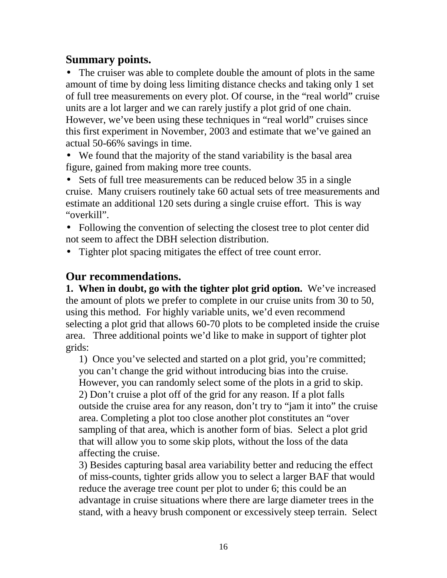# **Summary points.**

• The cruiser was able to complete double the amount of plots in the same amount of time by doing less limiting distance checks and taking only 1 set of full tree measurements on every plot. Of course, in the "real world" cruise units are a lot larger and we can rarely justify a plot grid of one chain. However, we've been using these techniques in "real world" cruises since this first experiment in November, 2003 and estimate that we've gained an actual 50-66% savings in time.

• We found that the majority of the stand variability is the basal area figure, gained from making more tree counts.

• Sets of full tree measurements can be reduced below 35 in a single cruise. Many cruisers routinely take 60 actual sets of tree measurements and estimate an additional 120 sets during a single cruise effort. This is way "overkill".

- Following the convention of selecting the closest tree to plot center did not seem to affect the DBH selection distribution.
- Tighter plot spacing mitigates the effect of tree count error.

# **Our recommendations.**

**1. When in doubt, go with the tighter plot grid option.** We've increased the amount of plots we prefer to complete in our cruise units from 30 to 50, using this method.For highly variable units, we'd even recommend selecting a plot grid that allows 60-70 plots to be completed inside the cruise area.Three additional points we'd like to make in support of tighter plot grids:

1) Once you've selected and started on a plot grid, you're committed; you can't change the grid without introducing bias into the cruise. However, you can randomly select some of the plots in a grid to skip. 2) Don't cruise a plot off of the grid for any reason. If a plot falls outside the cruise area for any reason, don't try to "jam it into" the cruise area. Completing a plot too close another plot constitutes an "over sampling of that area, which is another form of bias. Select a plot grid that will allow you to some skip plots, without the loss of the data affecting the cruise.

3) Besides capturing basal area variability better and reducing the effect of miss-counts, tighter grids allow you to select a larger BAF that would reduce the average tree count per plot to under 6; this could be an advantage in cruise situations where there are large diameter trees in the stand, with a heavy brush component or excessively steep terrain. Select